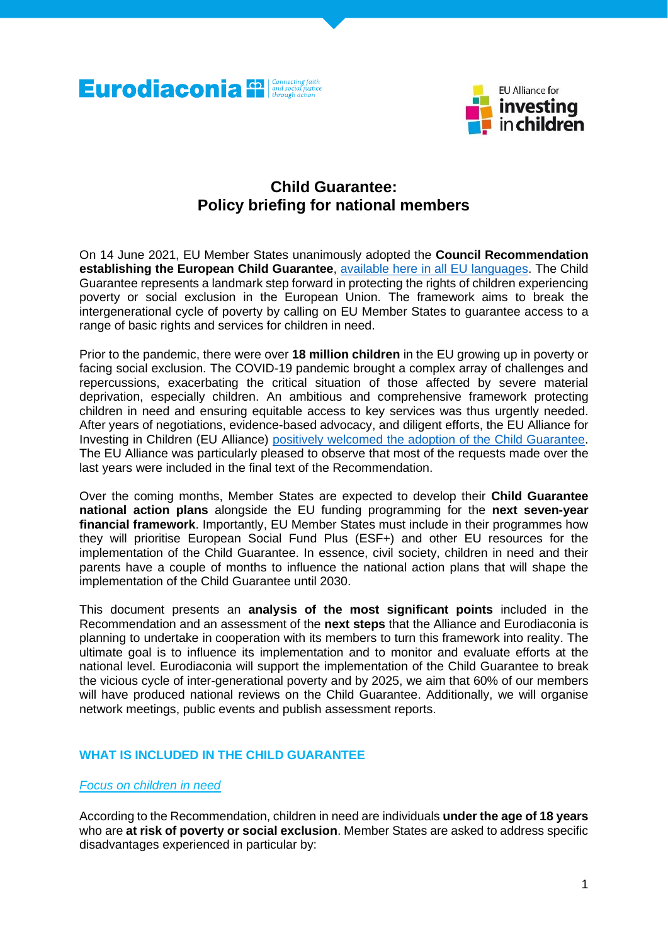



# **Child Guarantee: Policy briefing for national members**

On 14 June 2021, EU Member States unanimously adopted the **Council Recommendation establishing the European Child Guarantee**, available here [in all EU languages.](https://eur-lex.europa.eu/legal-content/EN/TXT/?uri=CELEX%3A32021H1004&qid=1624453987845) The Child Guarantee represents a landmark step forward in protecting the rights of children experiencing poverty or social exclusion in the European Union. The framework aims to break the intergenerational cycle of poverty by calling on EU Member States to guarantee access to a range of basic rights and services for children in need.

Prior to the pandemic, there were over **18 million children** in the EU growing up in poverty or facing social exclusion. The COVID-19 pandemic brought a complex array of challenges and repercussions, exacerbating the critical situation of those affected by severe material deprivation, especially children. An ambitious and comprehensive framework protecting children in need and ensuring equitable access to key services was thus urgently needed. After years of negotiations, evidence-based advocacy, and diligent efforts, the EU Alliance for Investing in Children (EU Alliance) positively welcomed [the adoption of the Child Guarantee.](http://www.alliance4investinginchildren.eu/eu-alliance-for-investing-in-children-welcomes-the-epsco-council-adoption-of-the-council-recommendation-establishing-the-european-child-guarantee/) The EU Alliance was particularly pleased to observe that most of the requests made over the last years were included in the final text of the Recommendation.

Over the coming months, Member States are expected to develop their **Child Guarantee national action plans** alongside the EU funding programming for the **next seven-year financial framework**. Importantly, EU Member States must include in their programmes how they will prioritise European Social Fund Plus (ESF+) and other EU resources for the implementation of the Child Guarantee. In essence, civil society, children in need and their parents have a couple of months to influence the national action plans that will shape the implementation of the Child Guarantee until 2030.

This document presents an **analysis of the most significant points** included in the Recommendation and an assessment of the **next steps** that the Alliance and Eurodiaconia is planning to undertake in cooperation with its members to turn this framework into reality. The ultimate goal is to influence its implementation and to monitor and evaluate efforts at the national level. Eurodiaconia will support the implementation of the Child Guarantee to break the vicious cycle of inter-generational poverty and by 2025, we aim that 60% of our members will have produced national reviews on the Child Guarantee. Additionally, we will organise network meetings, public events and publish assessment reports.

# **WHAT IS INCLUDED IN THE CHILD GUARANTEE**

#### *Focus on children in need*

According to the Recommendation, children in need are individuals **under the age of 18 years** who are **at risk of poverty or social exclusion**. Member States are asked to address specific disadvantages experienced in particular by: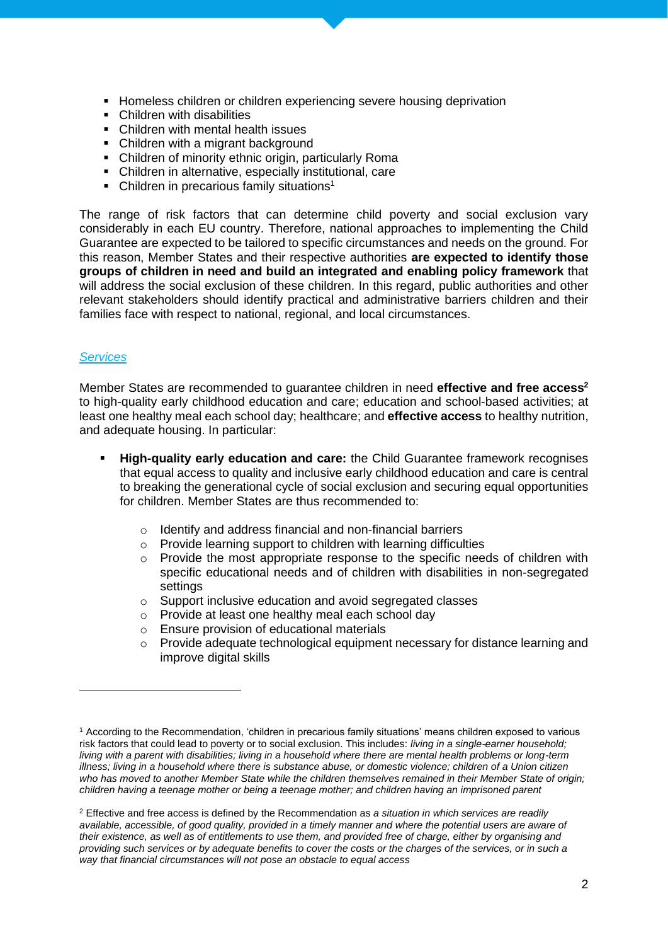- Homeless children or children experiencing severe housing deprivation
- Children with disabilities
- Children with mental health issues
- Children with a migrant background
- Children of minority ethnic origin, particularly Roma
- Children in alternative, especially institutional, care
- Children in precarious family situations<sup>1</sup>

The range of risk factors that can determine child poverty and social exclusion vary considerably in each EU country. Therefore, national approaches to implementing the Child Guarantee are expected to be tailored to specific circumstances and needs on the ground. For this reason, Member States and their respective authorities **are expected to identify those groups of children in need and build an integrated and enabling policy framework** that will address the social exclusion of these children. In this regard, public authorities and other relevant stakeholders should identify practical and administrative barriers children and their families face with respect to national, regional, and local circumstances.

#### *Services*

Member States are recommended to guarantee children in need **effective and free access<sup>2</sup>** to high-quality early childhood education and care; education and school-based activities; at least one healthy meal each school day; healthcare; and **effective access** to healthy nutrition, and adequate housing. In particular:

- **High-quality early education and care:** the Child Guarantee framework recognises that equal access to quality and inclusive early childhood education and care is central to breaking the generational cycle of social exclusion and securing equal opportunities for children. Member States are thus recommended to:
	- o Identify and address financial and non-financial barriers
	- o Provide learning support to children with learning difficulties
	- $\circ$  Provide the most appropriate response to the specific needs of children with specific educational needs and of children with disabilities in non-segregated settings
	- o Support inclusive education and avoid segregated classes
	- o Provide at least one healthy meal each school day
	- o Ensure provision of educational materials
	- $\circ$  Provide adequate technological equipment necessary for distance learning and improve digital skills

<sup>1</sup> According to the Recommendation, 'children in precarious family situations' means children exposed to various risk factors that could lead to poverty or to social exclusion. This includes: *living in a single-earner household; living with a parent with disabilities; living in a household where there are mental health problems or long-term illness; living in a household where there is substance abuse, or domestic violence; children of a Union citizen who has moved to another Member State while the children themselves remained in their Member State of origin; children having a teenage mother or being a teenage mother; and children having an imprisoned parent*

<sup>2</sup> Effective and free access is defined by the Recommendation as *a situation in which services are readily available, accessible, of good quality, provided in a timely manner and where the potential users are aware of their existence, as well as of entitlements to use them, and provided free of charge, either by organising and providing such services or by adequate benefits to cover the costs or the charges of the services, or in such a way that financial circumstances will not pose an obstacle to equal access*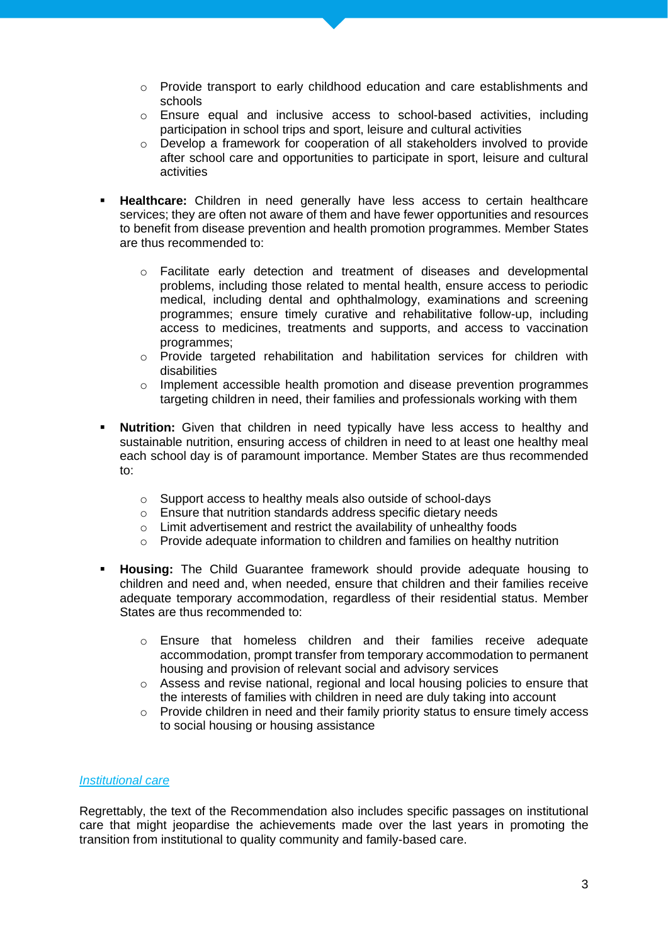- o Provide transport to early childhood education and care establishments and schools
- o Ensure equal and inclusive access to school-based activities, including participation in school trips and sport, leisure and cultural activities
- o Develop a framework for cooperation of all stakeholders involved to provide after school care and opportunities to participate in sport, leisure and cultural activities
- Healthcare: Children in need generally have less access to certain healthcare services; they are often not aware of them and have fewer opportunities and resources to benefit from disease prevention and health promotion programmes. Member States are thus recommended to:
	- $\circ$  Facilitate early detection and treatment of diseases and developmental problems, including those related to mental health, ensure access to periodic medical, including dental and ophthalmology, examinations and screening programmes; ensure timely curative and rehabilitative follow-up, including access to medicines, treatments and supports, and access to vaccination programmes;
	- o Provide targeted rehabilitation and habilitation services for children with disabilities
	- $\circ$  Implement accessible health promotion and disease prevention programmes targeting children in need, their families and professionals working with them
- **Nutrition:** Given that children in need typically have less access to healthy and sustainable nutrition, ensuring access of children in need to at least one healthy meal each school day is of paramount importance. Member States are thus recommended to:
	- o Support access to healthy meals also outside of school-days
	- o Ensure that nutrition standards address specific dietary needs
	- o Limit advertisement and restrict the availability of unhealthy foods
	- o Provide adequate information to children and families on healthy nutrition
- **Housing:** The Child Guarantee framework should provide adequate housing to children and need and, when needed, ensure that children and their families receive adequate temporary accommodation, regardless of their residential status. Member States are thus recommended to:
	- o Ensure that homeless children and their families receive adequate accommodation, prompt transfer from temporary accommodation to permanent housing and provision of relevant social and advisory services
	- $\circ$  Assess and revise national, regional and local housing policies to ensure that the interests of families with children in need are duly taking into account
	- $\circ$  Provide children in need and their family priority status to ensure timely access to social housing or housing assistance

# *Institutional care*

Regrettably, the text of the Recommendation also includes specific passages on institutional care that might jeopardise the achievements made over the last years in promoting the transition from institutional to quality community and family-based care.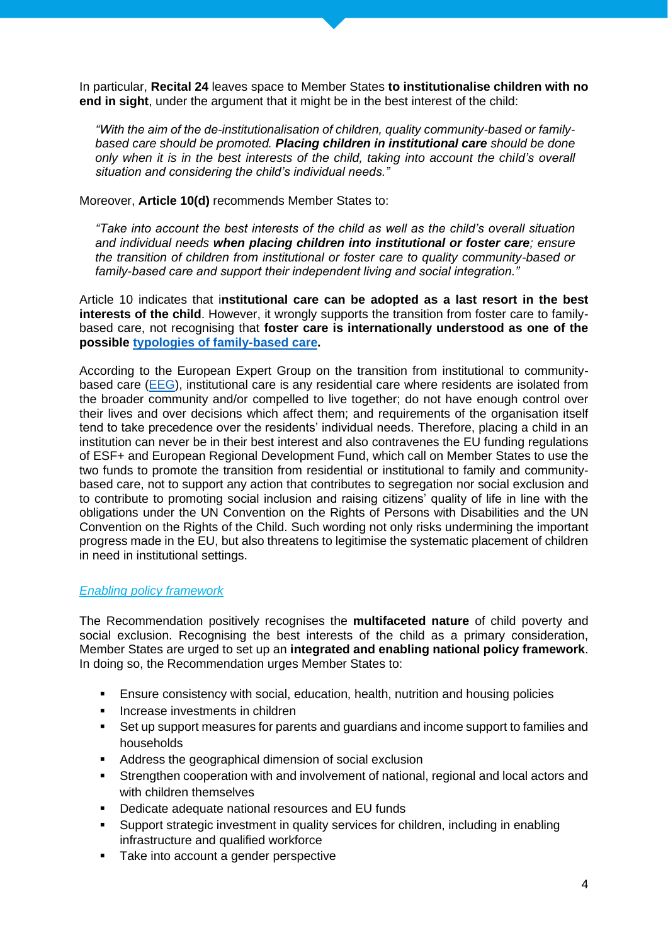In particular, **Recital 24** leaves space to Member States **to institutionalise children with no end in sight**, under the argument that it might be in the best interest of the child:

*"With the aim of the de-institutionalisation of children, quality community-based or familybased care should be promoted. Placing children in institutional care should be done only when it is in the best interests of the child, taking into account the child's overall situation and considering the child's individual needs."*

Moreover, **Article 10(d)** recommends Member States to:

*"Take into account the best interests of the child as well as the child's overall situation and individual needs when placing children into institutional or foster care; ensure the transition of children from institutional or foster care to quality community-based or family-based care and support their independent living and social integration."*

Article 10 indicates that i**nstitutional care can be adopted as a last resort in the best interests of the child.** However, it wrongly supports the transition from foster care to familybased care, not recognising that **foster care is internationally understood as one of the possible [typologies of family-based care.](https://www.unicef.org/eca/definitions)** 

According to the European Expert Group on the transition from institutional to community-based care [\(EEG\)](https://deinstitutionalisation.com/), institutional care is any residential care where residents are isolated from the broader community and/or compelled to live together; do not have enough control over their lives and over decisions which affect them; and requirements of the organisation itself tend to take precedence over the residents' individual needs. Therefore, placing a child in an institution can never be in their best interest and also contravenes the EU funding regulations of ESF+ and European Regional Development Fund, which call on Member States to use the two funds to promote the transition from residential or institutional to family and communitybased care, not to support any action that contributes to segregation nor social exclusion and to contribute to promoting social inclusion and raising citizens' quality of life in line with the obligations under the UN Convention on the Rights of Persons with Disabilities and the UN Convention on the Rights of the Child. Such wording not only risks undermining the important progress made in the EU, but also threatens to legitimise the systematic placement of children in need in institutional settings.

# *Enabling policy framework*

The Recommendation positively recognises the **multifaceted nature** of child poverty and social exclusion. Recognising the best interests of the child as a primary consideration, Member States are urged to set up an **integrated and enabling national policy framework**. In doing so, the Recommendation urges Member States to:

- **E** Ensure consistency with social, education, health, nutrition and housing policies
- Increase investments in children
- Set up support measures for parents and quardians and income support to families and households
- Address the geographical dimension of social exclusion
- **•** Strengthen cooperation with and involvement of national, regional and local actors and with children themselves
- Dedicate adequate national resources and EU funds
- Support strategic investment in quality services for children, including in enabling infrastructure and qualified workforce
- Take into account a gender perspective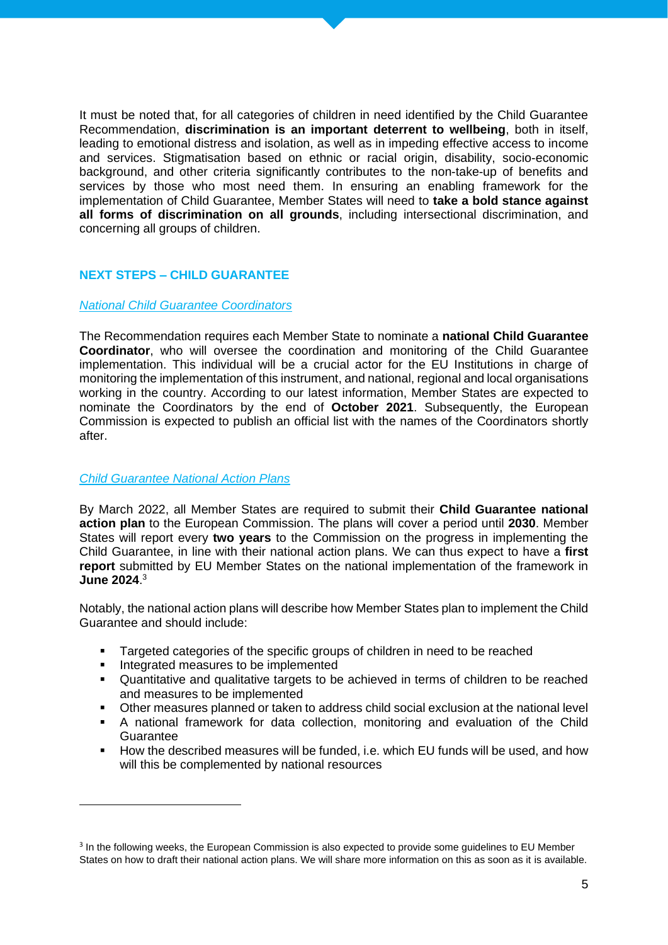It must be noted that, for all categories of children in need identified by the Child Guarantee Recommendation, **discrimination is an important deterrent to wellbeing**, both in itself, leading to emotional distress and isolation, as well as in impeding effective access to income and services. Stigmatisation based on ethnic or racial origin, disability, socio-economic background, and other criteria significantly contributes to the non-take-up of benefits and services by those who most need them. In ensuring an enabling framework for the implementation of Child Guarantee, Member States will need to **take a bold stance against all forms of discrimination on all grounds**, including intersectional discrimination, and concerning all groups of children.

# **NEXT STEPS – CHILD GUARANTEE**

#### *National Child Guarantee Coordinators*

The Recommendation requires each Member State to nominate a **national Child Guarantee Coordinator**, who will oversee the coordination and monitoring of the Child Guarantee implementation. This individual will be a crucial actor for the EU Institutions in charge of monitoring the implementation of this instrument, and national, regional and local organisations working in the country. According to our latest information, Member States are expected to nominate the Coordinators by the end of **October 2021**. Subsequently, the European Commission is expected to publish an official list with the names of the Coordinators shortly after.

#### *Child Guarantee National Action Plans*

By March 2022, all Member States are required to submit their **Child Guarantee national action plan** to the European Commission. The plans will cover a period until **2030**. Member States will report every **two years** to the Commission on the progress in implementing the Child Guarantee, in line with their national action plans. We can thus expect to have a **first report** submitted by EU Member States on the national implementation of the framework in **June 2024**. 3

Notably, the national action plans will describe how Member States plan to implement the Child Guarantee and should include:

- Targeted categories of the specific groups of children in need to be reached
- Integrated measures to be implemented
- Quantitative and qualitative targets to be achieved in terms of children to be reached and measures to be implemented
- Other measures planned or taken to address child social exclusion at the national level
- A national framework for data collection, monitoring and evaluation of the Child **Guarantee**
- How the described measures will be funded, i.e. which EU funds will be used, and how will this be complemented by national resources

<sup>&</sup>lt;sup>3</sup> In the following weeks, the European Commission is also expected to provide some guidelines to EU Member States on how to draft their national action plans. We will share more information on this as soon as it is available.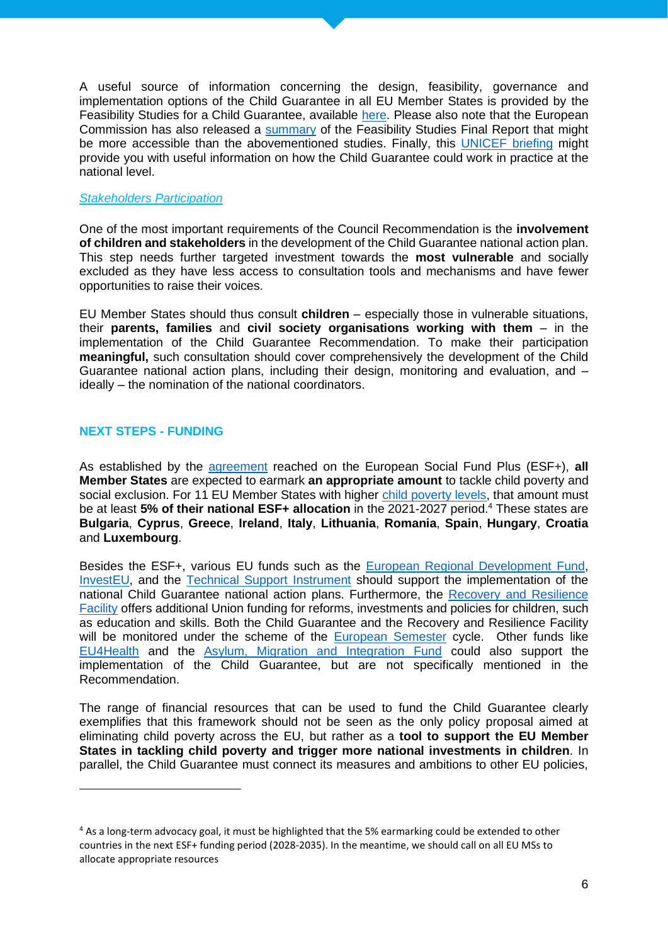A useful source of information concerning the design, feasibility, governance and implementation options of the Child Guarantee in all EU Member States is provided by the Feasibility Studies for a Child Guarantee, available [here.](https://ec.europa.eu/social/main.jsp?catId=1428&langId=en) Please also note that the European Commission has also released a [summary](https://ec.europa.eu/social/BlobServlet?docId=24071&langId=en) of the Feasibility Studies Final Report that might be more accessible than the abovementioned studies. Finally, this [UNICEF](https://www.google.com/url?sa=t&rct=j&q=&esrc=s&source=web&cd=&cad=rja&uact=8&ved=2ahUKEwjMzIaW1rXyAhVH3qQKHWgKDhkQFnoECAIQAQ&url=https%3A%2F%2Fwww.unicef.org%2Feca%2Fmedia%2F16471%2Ffile%2FProgrammatic%2520Update%25202%2520on%2520Phase%2520III%2520of%2520Child%2520Guarantee.pdf&usg=AOvVaw3kJptBAxebIkhk-_0eqBqX) briefing might provide you with useful information on how the Child Guarantee could work in practice at the national level.

#### *Stakeholders Participation*

One of the most important requirements of the Council Recommendation is the **involvement of children and stakeholders** in the development of the Child Guarantee national action plan. This step needs further targeted investment towards the **most vulnerable** and socially excluded as they have less access to consultation tools and mechanisms and have fewer opportunities to raise their voices.

EU Member States should thus consult **children** – especially those in vulnerable situations, their **parents, families** and **civil society organisations working with them** – in the implementation of the Child Guarantee Recommendation. To make their participation **meaningful,** such consultation should cover comprehensively the development of the Child Guarantee national action plans, including their design, monitoring and evaluation, and – ideally – the nomination of the national coordinators.

# **NEXT STEPS - FUNDING**

As established by the [agreement](https://eur-lex.europa.eu/legal-content/EN/TXT/?uri=CELEX%3A32021R1057) reached on the European Social Fund Plus (ESF+), **all Member States** are expected to earmark **an appropriate amount** to tackle child poverty and social exclusion. For 11 EU Member States with higher [child poverty levels,](https://ec.europa.eu/eurostat/statistics-explained/index.php?title=File:Children_AROPE_2019data-01.jpg) that amount must be at least **5% of their national ESF+ allocation** in the 2021-2027 period. <sup>4</sup> These states are **Bulgaria**, **Cyprus**, **Greece**, **Ireland**, **Italy**, **Lithuania**, **Romania**, **Spain**, **Hungary**, **Croatia**  and **Luxembourg**.

Besides the ESF+, various EU funds such as the [European Regional Development Fund,](https://www.google.com/url?sa=t&rct=j&q=&esrc=s&source=web&cd=&cad=rja&uact=8&ved=2ahUKEwjLzcDdvbDxAhVC7OAKHTmsAnYQFjAAegQIBhAD&url=https%3A%2F%2Fec.europa.eu%2Fregional_policy%2Fen%2Ffunding%2Ferdf%2F&usg=AOvVaw3yWfxr8RQw1RsfQNIY8c-z) [InvestEU,](https://www.google.com/url?sa=t&rct=j&q=&esrc=s&source=web&cd=&cad=rja&uact=8&ved=2ahUKEwj_9Z_0vbDxAhUZBWMBHXUSB80QFjABegQIBRAD&url=https%3A%2F%2Feuropa.eu%2Finvesteu%2Fhome_en&usg=AOvVaw2hrxamD-V9kwO2Uvo1qjw6) and the [Technical Support Instrument](https://www.google.com/url?sa=t&rct=j&q=&esrc=s&source=web&cd=&cad=rja&uact=8&ved=2ahUKEwiu1_v8vbDxAhURohQKHUJ3CtwQFjADegQIBRAD&url=https%3A%2F%2Fwww.coe.int%2Fen%2Fweb%2Fcorruption%2Fprogramme%2Fsrsp&usg=AOvVaw0TxcPr43iVXR13M3RKbOAl) should support the implementation of the national Child Guarantee national action plans. Furthermore, the [Recovery and Resilience](https://www.google.com/url?sa=t&rct=j&q=&esrc=s&source=web&cd=&cad=rja&uact=8&ved=2ahUKEwiayouKvrDxAhX8BmMBHdKiDN0QFjACegQIBRAD&url=https%3A%2F%2Fec.europa.eu%2Finfo%2Fbusiness-economy-euro%2Frecovery-coronavirus%2Frecovery-and-resilience-facility_en&usg=AOvVaw1XE-1m0pWv0oTRPmPaqV5A)  [Facility](https://www.google.com/url?sa=t&rct=j&q=&esrc=s&source=web&cd=&cad=rja&uact=8&ved=2ahUKEwiayouKvrDxAhX8BmMBHdKiDN0QFjACegQIBRAD&url=https%3A%2F%2Fec.europa.eu%2Finfo%2Fbusiness-economy-euro%2Frecovery-coronavirus%2Frecovery-and-resilience-facility_en&usg=AOvVaw1XE-1m0pWv0oTRPmPaqV5A) offers additional Union funding for reforms, investments and policies for children, such as education and skills. Both the Child Guarantee and the Recovery and Resilience Facility will be monitored under the scheme of the [European Semester](https://ec.europa.eu/info/business-economy-euro/economic-and-fiscal-policy-coordination/eu-economic-governance-monitoring-prevention-correction/european-semester_en) cycle. Other funds like [EU4Health](https://ec.europa.eu/health/funding/eu4health_it) and the [Asylum, Migration and Integration Fund](https://ec.europa.eu/home-affairs/asylum-migration-and-integration-fund-union-actions-field-asylum_en) could also support the implementation of the Child Guarantee, but are not specifically mentioned in the Recommendation.

The range of financial resources that can be used to fund the Child Guarantee clearly exemplifies that this framework should not be seen as the only policy proposal aimed at eliminating child poverty across the EU, but rather as a **tool to support the EU Member States in tackling child poverty and trigger more national investments in children**. In parallel, the Child Guarantee must connect its measures and ambitions to other EU policies,

<sup>4</sup> As a long-term advocacy goal, it must be highlighted that the 5% earmarking could be extended to other countries in the next ESF+ funding period (2028-2035). In the meantime, we should call on all EU MSs to allocate appropriate resources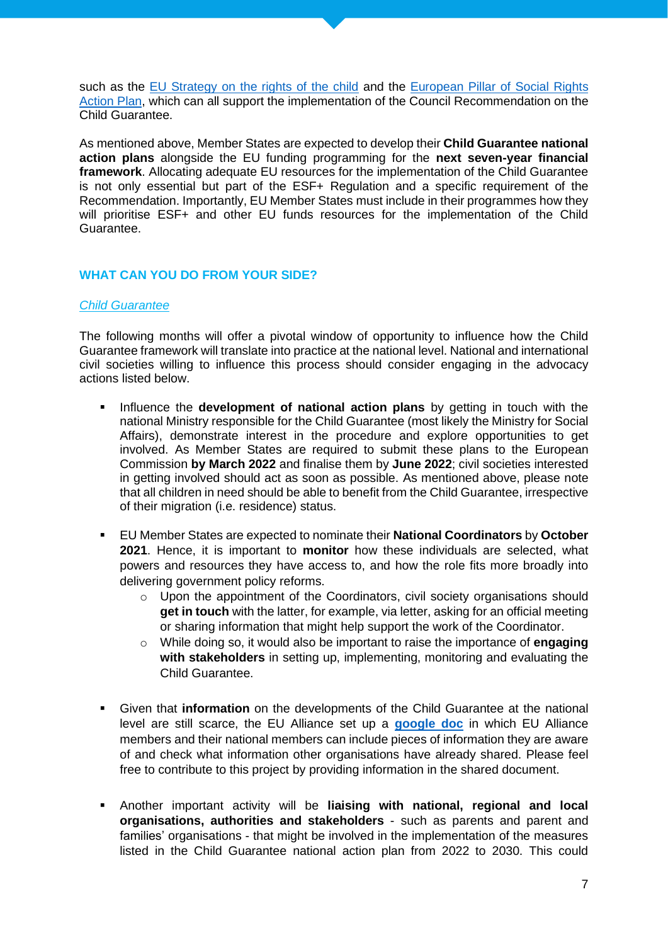such as the [EU Strategy on the rights of the child](https://www.google.com/url?sa=t&rct=j&q=&esrc=s&source=web&cd=&cad=rja&uact=8&ved=2ahUKEwiti7-YvrDxAhUC0uAKHbmaCpAQFjAAegQIBBAD&url=https%3A%2F%2Fec.europa.eu%2Finfo%2Fpolicies%2Fjustice-and-fundamental-rights%2Frights-child%2Feu-strategy-rights-child-and-european-child-guarantee_en&usg=AOvVaw1gLW7bEXT1QHte7JhTguGq) and the European Pillar of Social Rights [Action Plan,](https://ec.europa.eu/info/strategy/priorities-2019-2024/economy-works-people/jobs-growth-and-investment/european-pillar-social-rights/european-pillar-social-rights-action-plan_en) which can all support the implementation of the Council Recommendation on the Child Guarantee.

As mentioned above, Member States are expected to develop their **Child Guarantee national action plans** alongside the EU funding programming for the **next seven-year financial framework**. Allocating adequate EU resources for the implementation of the Child Guarantee is not only essential but part of the ESF+ Regulation and a specific requirement of the Recommendation. Importantly, EU Member States must include in their programmes how they will prioritise ESF+ and other EU funds resources for the implementation of the Child Guarantee.

# **WHAT CAN YOU DO FROM YOUR SIDE?**

# *Child Guarantee*

The following months will offer a pivotal window of opportunity to influence how the Child Guarantee framework will translate into practice at the national level. National and international civil societies willing to influence this process should consider engaging in the advocacy actions listed below.

- **.** Influence the **development of national action plans** by getting in touch with the national Ministry responsible for the Child Guarantee (most likely the Ministry for Social Affairs), demonstrate interest in the procedure and explore opportunities to get involved. As Member States are required to submit these plans to the European Commission **by March 2022** and finalise them by **June 2022**; civil societies interested in getting involved should act as soon as possible. As mentioned above, please note that all children in need should be able to benefit from the Child Guarantee, irrespective of their migration (i.e. residence) status.
- EU Member States are expected to nominate their **National Coordinators** by **October 2021**. Hence, it is important to **monitor** how these individuals are selected, what powers and resources they have access to, and how the role fits more broadly into delivering government policy reforms.
	- o Upon the appointment of the Coordinators, civil society organisations should **get in touch** with the latter, for example, via letter, asking for an official meeting or sharing information that might help support the work of the Coordinator.
	- o While doing so, it would also be important to raise the importance of **engaging with stakeholders** in setting up, implementing, monitoring and evaluating the Child Guarantee.
- Given that **information** on the developments of the Child Guarantee at the national level are still scarce, the EU Alliance set up a **[google doc](https://docs.google.com/spreadsheets/d/1-s2jQal8yrAmO7XU19L9mEg75aDKyFE5/edit#gid=412241191)** in which EU Alliance members and their national members can include pieces of information they are aware of and check what information other organisations have already shared. Please feel free to contribute to this project by providing information in the shared document.
- Another important activity will be **liaising with national, regional and local organisations, authorities and stakeholders** - such as parents and parent and families' organisations - that might be involved in the implementation of the measures listed in the Child Guarantee national action plan from 2022 to 2030. This could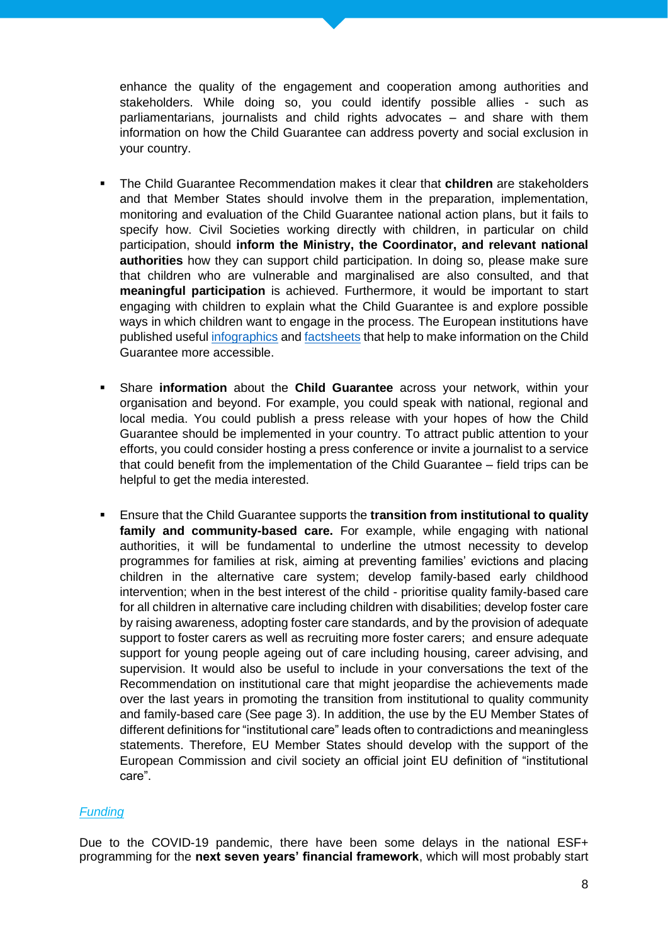enhance the quality of the engagement and cooperation among authorities and stakeholders. While doing so, you could identify possible allies - such as parliamentarians, journalists and child rights advocates – and share with them information on how the Child Guarantee can address poverty and social exclusion in your country.

- The Child Guarantee Recommendation makes it clear that **children** are stakeholders and that Member States should involve them in the preparation, implementation, monitoring and evaluation of the Child Guarantee national action plans, but it fails to specify how. Civil Societies working directly with children, in particular on child participation, should **inform the Ministry, the Coordinator, and relevant national authorities** how they can support child participation. In doing so, please make sure that children who are vulnerable and marginalised are also consulted, and that **meaningful participation** is achieved. Furthermore, it would be important to start engaging with children to explain what the Child Guarantee is and explore possible ways in which children want to engage in the process. The European institutions have published useful [infographics](https://www.consilium.europa.eu/en/infographics/european-child-guarantee/) and [factsheets](https://ec.europa.eu/social/BlobServlet?docId=23789&langId=en) that help to make information on the Child Guarantee more accessible.
- Share **information** about the **Child Guarantee** across your network, within your organisation and beyond. For example, you could speak with national, regional and local media. You could publish a press release with your hopes of how the Child Guarantee should be implemented in your country. To attract public attention to your efforts, you could consider hosting a press conference or invite a journalist to a service that could benefit from the implementation of the Child Guarantee – field trips can be helpful to get the media interested.
- **Ensure that the Child Guarantee supports the transition from institutional to quality family and community-based care.** For example, while engaging with national authorities, it will be fundamental to underline the utmost necessity to develop programmes for families at risk, aiming at preventing families' evictions and placing children in the alternative care system; develop family-based early childhood intervention; when in the best interest of the child - prioritise quality family-based care for all children in alternative care including children with disabilities; develop foster care by raising awareness, adopting foster care standards, and by the provision of adequate support to foster carers as well as recruiting more foster carers; and ensure adequate support for young people ageing out of care including housing, career advising, and supervision. It would also be useful to include in your conversations the text of the Recommendation on institutional care that might jeopardise the achievements made over the last years in promoting the transition from institutional to quality community and family-based care (See page 3). In addition, the use by the EU Member States of different definitions for "institutional care" leads often to contradictions and meaningless statements. Therefore, EU Member States should develop with the support of the European Commission and civil society an official joint EU definition of "institutional care".

# *Funding*

Due to the COVID-19 pandemic, there have been some delays in the national ESF+ programming for the **next seven years' financial framework**, which will most probably start